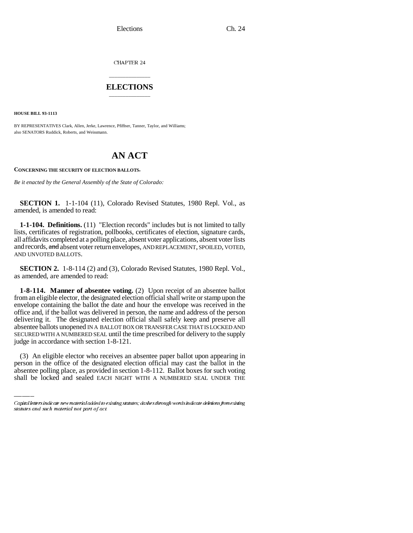CHAPTER 24

## \_\_\_\_\_\_\_\_\_\_\_\_\_\_\_ **ELECTIONS** \_\_\_\_\_\_\_\_\_\_\_\_\_\_\_

**HOUSE BILL 93-1113**

BY REPRESENTATIVES Clark, Allen, Jerke, Lawrence, Pfiffner, Tanner, Taylor, and Williams; also SENATORS Ruddick, Roberts, and Weissmann.

## **AN ACT**

## **CONCERNING THE SECURITY OF ELECTION BALLOTS.**

*Be it enacted by the General Assembly of the State of Colorado:*

**SECTION 1.** 1-1-104 (11), Colorado Revised Statutes, 1980 Repl. Vol., as amended, is amended to read:

**1-1-104. Definitions.** (11) "Election records" includes but is not limited to tally lists, certificates of registration, pollbooks, certificates of election, signature cards, all affidavits completed at a polling place, absent voter applications, absent voter lists and records, and absent voter return envelopes, AND REPLACEMENT, SPOILED, VOTED, AND UNVOTED BALLOTS.

**SECTION 2.** 1-8-114 (2) and (3), Colorado Revised Statutes, 1980 Repl. Vol., as amended, are amended to read:

judge in accordance with section 1-8-121. **1-8-114. Manner of absentee voting.** (2) Upon receipt of an absentee ballot from an eligible elector, the designated election official shall write or stamp upon the envelope containing the ballot the date and hour the envelope was received in the office and, if the ballot was delivered in person, the name and address of the person delivering it. The designated election official shall safely keep and preserve all absentee ballots unopened IN A BALLOT BOX OR TRANSFER CASE THAT IS LOCKED AND SECURED WITH A NUMBERED SEAL until the time prescribed for delivery to the supply

(3) An eligible elector who receives an absentee paper ballot upon appearing in person in the office of the designated election official may cast the ballot in the absentee polling place, as provided in section 1-8-112. Ballot boxes for such voting shall be locked and sealed EACH NIGHT WITH A NUMBERED SEAL UNDER THE

Capital letters indicate new material added to existing statutes; dashes through words indicate deletions from existing statutes and such material not part of act.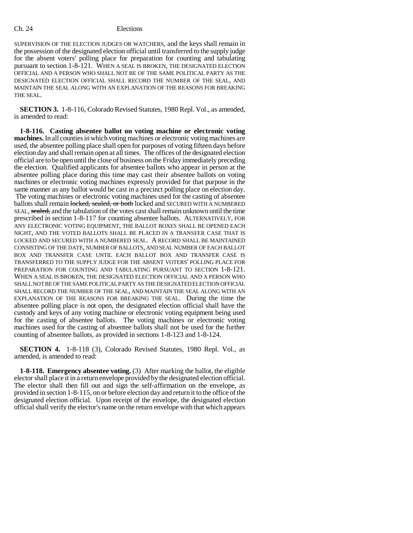## Ch. 24 Elections

SUPERVISION OF THE ELECTION JUDGES OR WATCHERS, and the keys shall remain in the possession of the designated election official until transferred to the supply judge for the absent voters' polling place for preparation for counting and tabulating pursuant to section 1-8-121. WHEN A SEAL IS BROKEN, THE DESIGNATED ELECTION OFFICIAL AND A PERSON WHO SHALL NOT BE OF THE SAME POLITICAL PARTY AS THE DESIGNATED ELECTION OFFICIAL SHALL RECORD THE NUMBER OF THE SEAL, AND MAINTAIN THE SEAL ALONG WITH AN EXPLANATION OF THE REASONS FOR BREAKING THE SEAL.

**SECTION 3.** 1-8-116, Colorado Revised Statutes, 1980 Repl. Vol., as amended, is amended to read:

**1-8-116. Casting absentee ballot on voting machine or electronic voting machines.** In all counties in which voting machines or electronic voting machines are used, the absentee polling place shall open for purposes of voting fifteen days before election day and shall remain open at all times. The offices of the designated election official are to be open until the close of business on the Friday immediately preceding the election. Qualified applicants for absentee ballots who appear in person at the absentee polling place during this time may cast their absentee ballots on voting machines or electronic voting machines expressly provided for that purpose in the same manner as any ballot would be cast in a precinct polling place on election day. The voting machines or electronic voting machines used for the casting of absentee ballots shall remain locked, sealed, or both locked and SECURED WITH A NUMBERED SEAL, sealed, and the tabulation of the votes cast shall remain unknown until the time prescribed in section 1-8-117 for counting absentee ballots. ALTERNATIVELY, FOR ANY ELECTRONIC VOTING EQUIPMENT, THE BALLOT BOXES SHALL BE OPENED EACH NIGHT, AND THE VOTED BALLOTS SHALL BE PLACED IN A TRANSFER CASE THAT IS LOCKED AND SECURED WITH A NUMBERED SEAL. A RECORD SHALL BE MAINTAINED CONSISTING OF THE DATE, NUMBER OF BALLOTS, AND SEAL NUMBER OF EACH BALLOT BOX AND TRANSFER CASE UNTIL EACH BALLOT BOX AND TRANSFER CASE IS TRANSFERRED TO THE SUPPLY JUDGE FOR THE ABSENT VOTERS' POLLING PLACE FOR PREPARATION FOR COUNTING AND TABULATING PURSUANT TO SECTION 1-8-121. WHEN A SEAL IS BROKEN, THE DESIGNATED ELECTION OFFICIAL AND A PERSON WHO SHALL NOT BE OF THE SAME POLITICAL PARTY AS THE DESIGNATED ELECTION OFFICIAL SHALL RECORD THE NUMBER OF THE SEAL, AND MAINTAIN THE SEAL ALONG WITH AN EXPLANATION OF THE REASONS FOR BREAKING THE SEAL. During the time the absentee polling place is not open, the designated election official shall have the custody and keys of any voting machine or electronic voting equipment being used for the casting of absentee ballots. The voting machines or electronic voting machines used for the casting of absentee ballots shall not be used for the further counting of absentee ballots, as provided in sections 1-8-123 and 1-8-124.

**SECTION 4.** 1-8-118 (3), Colorado Revised Statutes, 1980 Repl. Vol., as amended, is amended to read:

**1-8-118. Emergency absentee voting.** (3) After marking the ballot, the eligible elector shall place it in a return envelope provided by the designated election official. The elector shall then fill out and sign the self-affirmation on the envelope, as provided in section 1-8-115, on or before election day and return it to the office of the designated election official. Upon receipt of the envelope, the designated election official shall verify the elector's name on the return envelope with that which appears